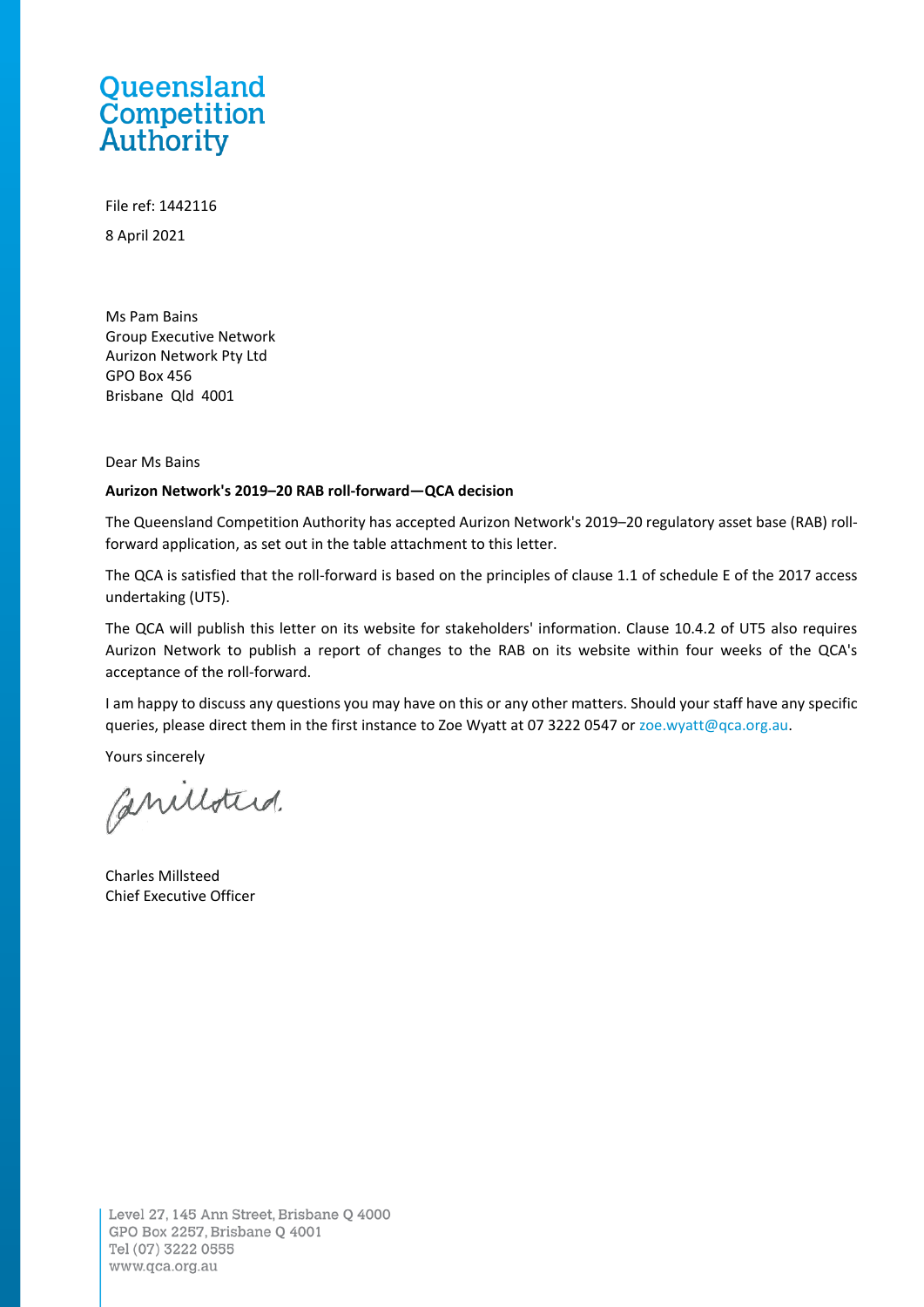## Queensland **Competition**<br>Authority

File ref: 1442116 8 April 2021

Ms Pam Bains Group Executive Network Aurizon Network Pty Ltd GPO Box 456 Brisbane Qld 4001

Dear Ms Bains

## **Aurizon Network's 2019–20 RAB roll-forward—QCA decision**

The Queensland Competition Authority has accepted Aurizon Network's 2019–20 regulatory asset base (RAB) rollforward application, as set out in the table attachment to this letter.

The QCA is satisfied that the roll-forward is based on the principles of clause 1.1 of schedule E of the 2017 access undertaking (UT5).

The QCA will publish this letter on its website for stakeholders' information. Clause 10.4.2 of UT5 also requires Aurizon Network to publish a report of changes to the RAB on its website within four weeks of the QCA's acceptance of the roll-forward.

I am happy to discuss any questions you may have on this or any other matters. Should your staff have any specific queries, please direct them in the first instance to Zoe Wyatt at 07 3222 0547 or [zoe.wyatt@qca.org.au.](mailto:zoe.wyatt@qca.org.au)

Yours sincerely

Canilloterd.

Charles Millsteed Chief Executive Officer